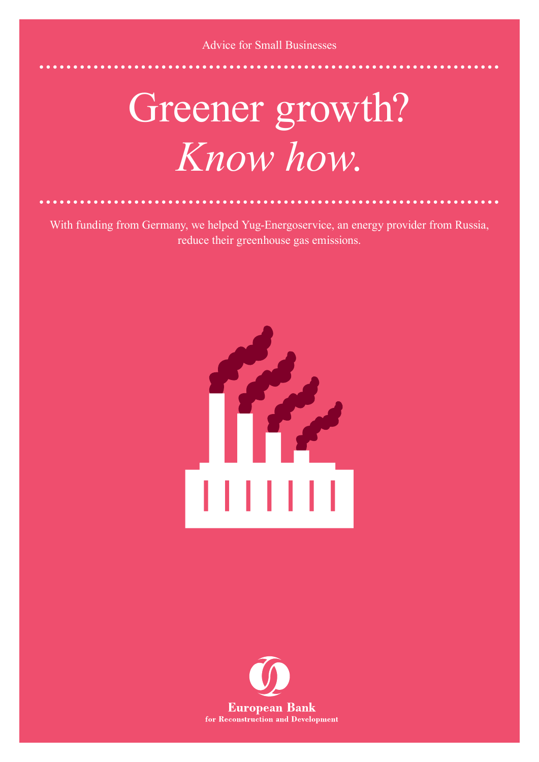Advice for Small Businesses

## Greener growth? *Know how*.

With funding from Germany, we helped Yug-Energoservice, an energy provider from Russia, reduce their greenhouse gas emissions.